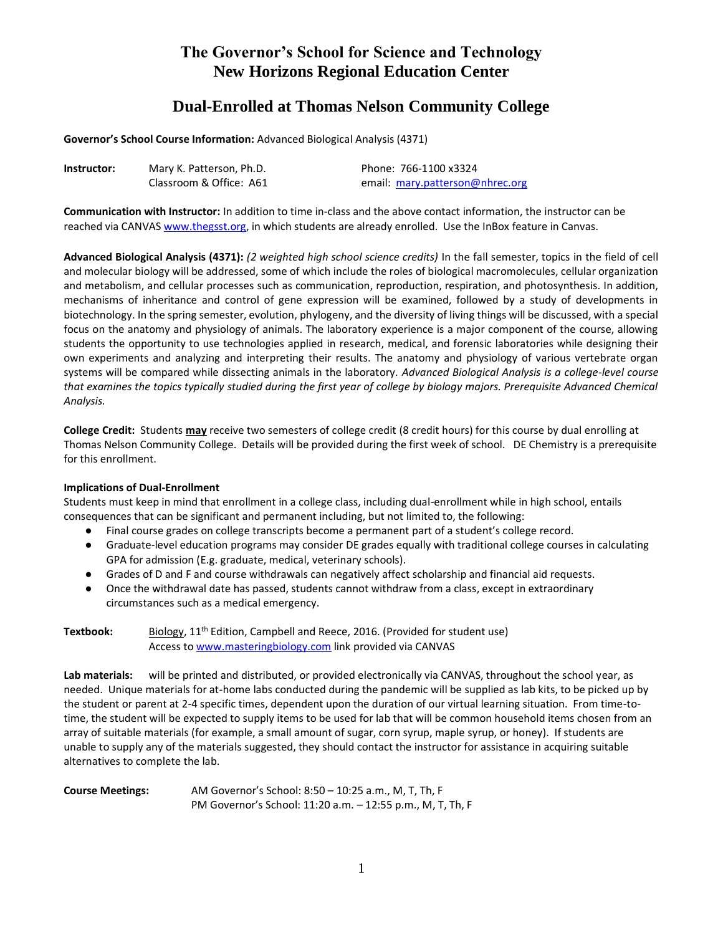## **Dual-Enrolled at Thomas Nelson Community College**

**Governor's School Course Information:** Advanced Biological Analysis (4371)

| Instructor: | Mary K. Patterson, Ph.D. | Phone: 766-1100 x3324           |
|-------------|--------------------------|---------------------------------|
|             | Classroom & Office: A61  | email: mary.patterson@nhrec.org |

**Communication with Instructor:** In addition to time in-class and the above contact information, the instructor can be reached via CANVAS www.thegsst.org, in which students are already enrolled. Use the InBox feature in Canvas.

**Advanced Biological Analysis (4371):** *(2 weighted high school science credits)* In the fall semester, topics in the field of cell and molecular biology will be addressed, some of which include the roles of biological macromolecules, cellular organization and metabolism, and cellular processes such as communication, reproduction, respiration, and photosynthesis. In addition, mechanisms of inheritance and control of gene expression will be examined, followed by a study of developments in biotechnology. In the spring semester, evolution, phylogeny, and the diversity of living things will be discussed, with a special focus on the anatomy and physiology of animals. The laboratory experience is a major component of the course, allowing students the opportunity to use technologies applied in research, medical, and forensic laboratories while designing their own experiments and analyzing and interpreting their results. The anatomy and physiology of various vertebrate organ systems will be compared while dissecting animals in the laboratory*. Advanced Biological Analysis is a college-level course that examines the topics typically studied during the first year of college by biology majors. Prerequisite Advanced Chemical Analysis.*

**College Credit:** Students **may** receive two semesters of college credit (8 credit hours) for this course by dual enrolling at Thomas Nelson Community College. Details will be provided during the first week of school. DE Chemistry is a prerequisite for this enrollment.

## **Implications of Dual-Enrollment**

Students must keep in mind that enrollment in a college class, including dual-enrollment while in high school, entails consequences that can be significant and permanent including, but not limited to, the following:

- Final course grades on college transcripts become a permanent part of a student's college record.
- Graduate-level education programs may consider DE grades equally with traditional college courses in calculating GPA for admission (E.g. graduate, medical, veterinary schools).
- Grades of D and F and course withdrawals can negatively affect scholarship and financial aid requests.
- Once the withdrawal date has passed, students cannot withdraw from a class, except in extraordinary circumstances such as a medical emergency.

**Textbook:** Biology, 11<sup>th</sup> Edition, Campbell and Reece, 2016. (Provided for student use) Access t[o www.masteringbiology.com](http://www.masteringbiology.com/) link provided via CANVAS

**Lab materials:** will be printed and distributed, or provided electronically via CANVAS, throughout the school year, as needed. Unique materials for at-home labs conducted during the pandemic will be supplied as lab kits, to be picked up by the student or parent at 2-4 specific times, dependent upon the duration of our virtual learning situation. From time-totime, the student will be expected to supply items to be used for lab that will be common household items chosen from an array of suitable materials (for example, a small amount of sugar, corn syrup, maple syrup, or honey). If students are unable to supply any of the materials suggested, they should contact the instructor for assistance in acquiring suitable alternatives to complete the lab.

**Course Meetings:** AM Governor's School: 8:50 – 10:25 a.m., M, T, Th, F PM Governor's School: 11:20 a.m. – 12:55 p.m., M, T, Th, F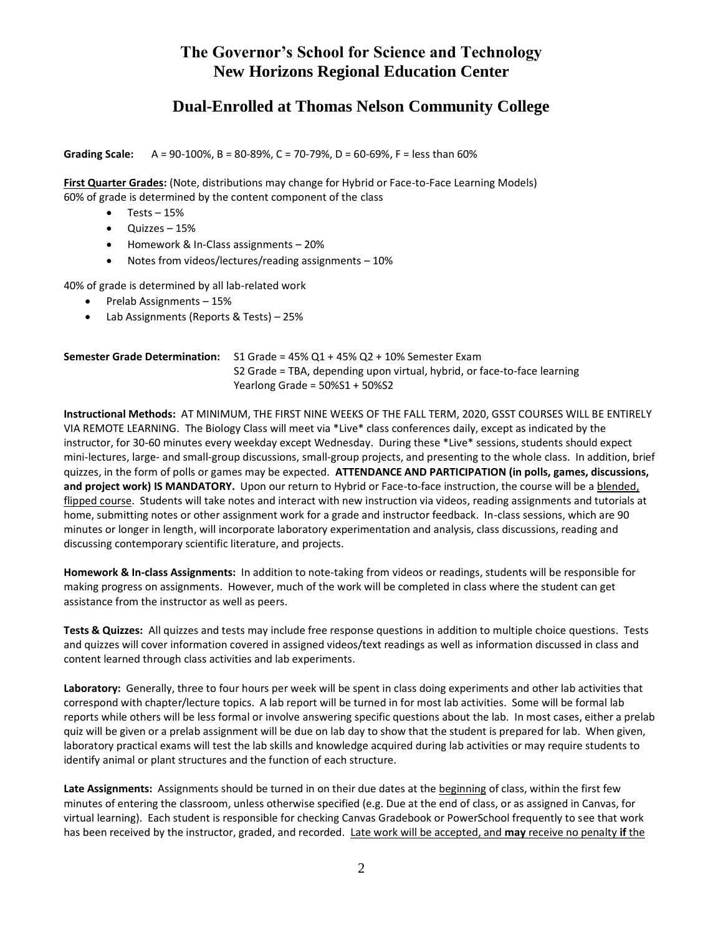## **Dual-Enrolled at Thomas Nelson Community College**

**Grading Scale:** A = 90-100%, B = 80-89%, C = 70-79%, D = 60-69%, F = less than 60%

**First Quarter Grades:** (Note, distributions may change for Hybrid or Face-to-Face Learning Models) 60% of grade is determined by the content component of the class

- $\bullet$  Tests 15%
- Quizzes 15%
- Homework & In-Class assignments 20%
- Notes from videos/lectures/reading assignments 10%

40% of grade is determined by all lab-related work

- $\bullet$  Prelab Assignments 15%
- Lab Assignments (Reports & Tests) 25%

| <b>Semester Grade Determination:</b> $\;$ S1 Grade = 45% Q1 + 45% Q2 + 10% Semester Exam |  |
|------------------------------------------------------------------------------------------|--|
| S2 Grade = TBA, depending upon virtual, hybrid, or face-to-face learning                 |  |
| Yearlong Grade = $50\%51 + 50\%52$                                                       |  |

**Instructional Methods:** AT MINIMUM, THE FIRST NINE WEEKS OF THE FALL TERM, 2020, GSST COURSES WILL BE ENTIRELY VIA REMOTE LEARNING. The Biology Class will meet via \*Live\* class conferences daily, except as indicated by the instructor, for 30-60 minutes every weekday except Wednesday. During these \*Live\* sessions, students should expect mini-lectures, large- and small-group discussions, small-group projects, and presenting to the whole class. In addition, brief quizzes, in the form of polls or games may be expected. **ATTENDANCE AND PARTICIPATION (in polls, games, discussions, and project work) IS MANDATORY.** Upon our return to Hybrid or Face-to-face instruction, the course will be a blended, flipped course. Students will take notes and interact with new instruction via videos, reading assignments and tutorials at home, submitting notes or other assignment work for a grade and instructor feedback. In-class sessions, which are 90 minutes or longer in length, will incorporate laboratory experimentation and analysis, class discussions, reading and discussing contemporary scientific literature, and projects.

**Homework & In-class Assignments:** In addition to note-taking from videos or readings, students will be responsible for making progress on assignments. However, much of the work will be completed in class where the student can get assistance from the instructor as well as peers.

**Tests & Quizzes:** All quizzes and tests may include free response questions in addition to multiple choice questions. Tests and quizzes will cover information covered in assigned videos/text readings as well as information discussed in class and content learned through class activities and lab experiments.

**Laboratory:** Generally, three to four hours per week will be spent in class doing experiments and other lab activities that correspond with chapter/lecture topics. A lab report will be turned in for most lab activities. Some will be formal lab reports while others will be less formal or involve answering specific questions about the lab. In most cases, either a prelab quiz will be given or a prelab assignment will be due on lab day to show that the student is prepared for lab. When given, laboratory practical exams will test the lab skills and knowledge acquired during lab activities or may require students to identify animal or plant structures and the function of each structure.

**Late Assignments:** Assignments should be turned in on their due dates at the beginning of class, within the first few minutes of entering the classroom, unless otherwise specified (e.g. Due at the end of class, or as assigned in Canvas, for virtual learning). Each student is responsible for checking Canvas Gradebook or PowerSchool frequently to see that work has been received by the instructor, graded, and recorded. Late work will be accepted, and **may** receive no penalty **if** the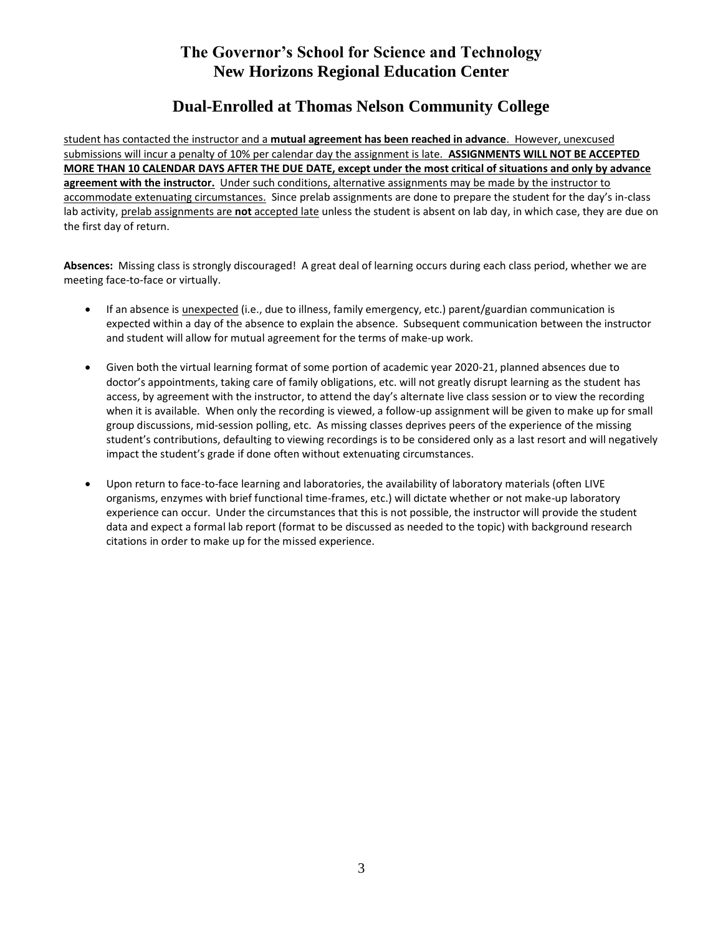# **Dual-Enrolled at Thomas Nelson Community College**

student has contacted the instructor and a **mutual agreement has been reached in advance**. However, unexcused submissions will incur a penalty of 10% per calendar day the assignment is late. **ASSIGNMENTS WILL NOT BE ACCEPTED MORE THAN 10 CALENDAR DAYS AFTER THE DUE DATE, except under the most critical of situations and only by advance agreement with the instructor.**Under such conditions, alternative assignments may be made by the instructor to accommodate extenuating circumstances. Since prelab assignments are done to prepare the student for the day's in-class lab activity, prelab assignments are **not** accepted late unless the student is absent on lab day, in which case, they are due on the first day of return.

**Absences:** Missing class is strongly discouraged! A great deal of learning occurs during each class period, whether we are meeting face-to-face or virtually.

- If an absence is *unexpected* (i.e., due to illness, family emergency, etc.) parent/guardian communication is expected within a day of the absence to explain the absence. Subsequent communication between the instructor and student will allow for mutual agreement for the terms of make-up work.
- Given both the virtual learning format of some portion of academic year 2020-21, planned absences due to doctor's appointments, taking care of family obligations, etc. will not greatly disrupt learning as the student has access, by agreement with the instructor, to attend the day's alternate live class session or to view the recording when it is available. When only the recording is viewed, a follow-up assignment will be given to make up for small group discussions, mid-session polling, etc. As missing classes deprives peers of the experience of the missing student's contributions, defaulting to viewing recordings is to be considered only as a last resort and will negatively impact the student's grade if done often without extenuating circumstances.
- Upon return to face-to-face learning and laboratories, the availability of laboratory materials (often LIVE organisms, enzymes with brief functional time-frames, etc.) will dictate whether or not make-up laboratory experience can occur. Under the circumstances that this is not possible, the instructor will provide the student data and expect a formal lab report (format to be discussed as needed to the topic) with background research citations in order to make up for the missed experience.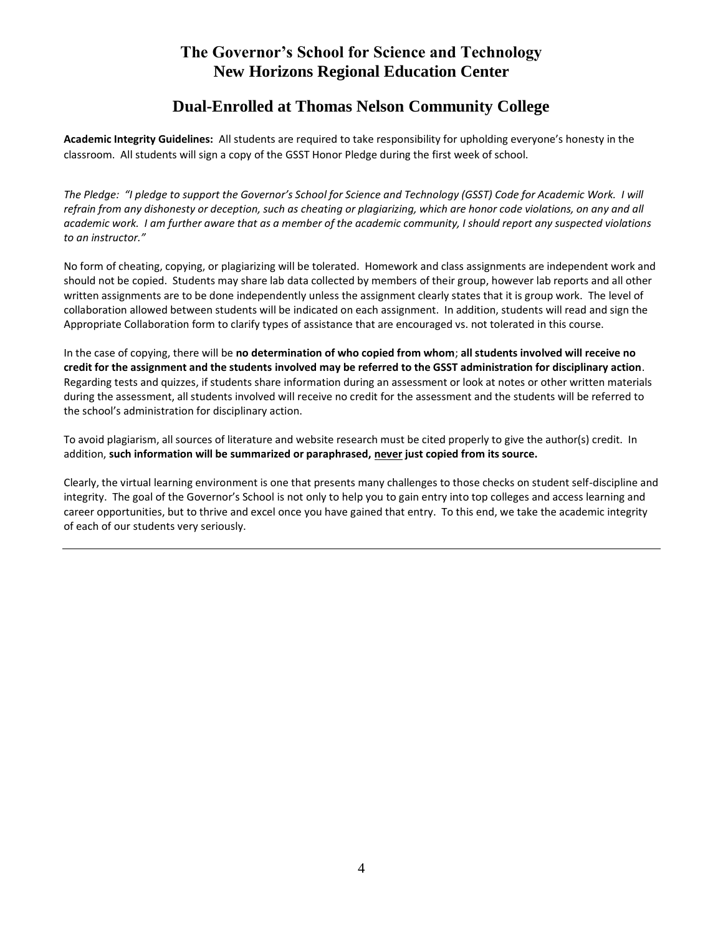## **Dual-Enrolled at Thomas Nelson Community College**

**Academic Integrity Guidelines:** All students are required to take responsibility for upholding everyone's honesty in the classroom. All students will sign a copy of the GSST Honor Pledge during the first week of school.

*The Pledge: "I pledge to support the Governor's School for Science and Technology (GSST) Code for Academic Work. I will refrain from any dishonesty or deception, such as cheating or plagiarizing, which are honor code violations, on any and all academic work. I am further aware that as a member of the academic community, I should report any suspected violations to an instructor."*

No form of cheating, copying, or plagiarizing will be tolerated. Homework and class assignments are independent work and should not be copied. Students may share lab data collected by members of their group, however lab reports and all other written assignments are to be done independently unless the assignment clearly states that it is group work. The level of collaboration allowed between students will be indicated on each assignment. In addition, students will read and sign the Appropriate Collaboration form to clarify types of assistance that are encouraged vs. not tolerated in this course.

In the case of copying, there will be **no determination of who copied from whom**; **all students involved will receive no credit for the assignment and the students involved may be referred to the GSST administration for disciplinary action**. Regarding tests and quizzes, if students share information during an assessment or look at notes or other written materials during the assessment, all students involved will receive no credit for the assessment and the students will be referred to the school's administration for disciplinary action.

To avoid plagiarism, all sources of literature and website research must be cited properly to give the author(s) credit. In addition, **such information will be summarized or paraphrased, never just copied from its source.**

Clearly, the virtual learning environment is one that presents many challenges to those checks on student self-discipline and integrity. The goal of the Governor's School is not only to help you to gain entry into top colleges and access learning and career opportunities, but to thrive and excel once you have gained that entry. To this end, we take the academic integrity of each of our students very seriously.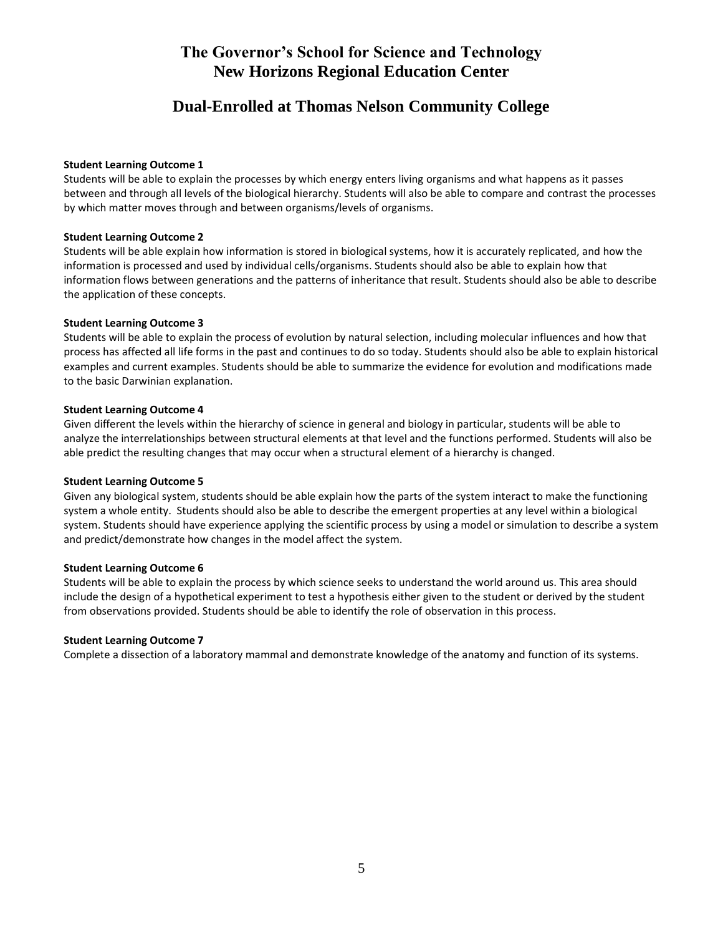## **Dual-Enrolled at Thomas Nelson Community College**

#### **Student Learning Outcome 1**

Students will be able to explain the processes by which energy enters living organisms and what happens as it passes between and through all levels of the biological hierarchy. Students will also be able to compare and contrast the processes by which matter moves through and between organisms/levels of organisms.

#### **Student Learning Outcome 2**

Students will be able explain how information is stored in biological systems, how it is accurately replicated, and how the information is processed and used by individual cells/organisms. Students should also be able to explain how that information flows between generations and the patterns of inheritance that result. Students should also be able to describe the application of these concepts.

#### **Student Learning Outcome 3**

Students will be able to explain the process of evolution by natural selection, including molecular influences and how that process has affected all life forms in the past and continues to do so today. Students should also be able to explain historical examples and current examples. Students should be able to summarize the evidence for evolution and modifications made to the basic Darwinian explanation.

#### **Student Learning Outcome 4**

Given different the levels within the hierarchy of science in general and biology in particular, students will be able to analyze the interrelationships between structural elements at that level and the functions performed. Students will also be able predict the resulting changes that may occur when a structural element of a hierarchy is changed.

## **Student Learning Outcome 5**

Given any biological system, students should be able explain how the parts of the system interact to make the functioning system a whole entity. Students should also be able to describe the emergent properties at any level within a biological system. Students should have experience applying the scientific process by using a model or simulation to describe a system and predict/demonstrate how changes in the model affect the system.

## **Student Learning Outcome 6**

Students will be able to explain the process by which science seeks to understand the world around us. This area should include the design of a hypothetical experiment to test a hypothesis either given to the student or derived by the student from observations provided. Students should be able to identify the role of observation in this process.

## **Student Learning Outcome 7**

Complete a dissection of a laboratory mammal and demonstrate knowledge of the anatomy and function of its systems.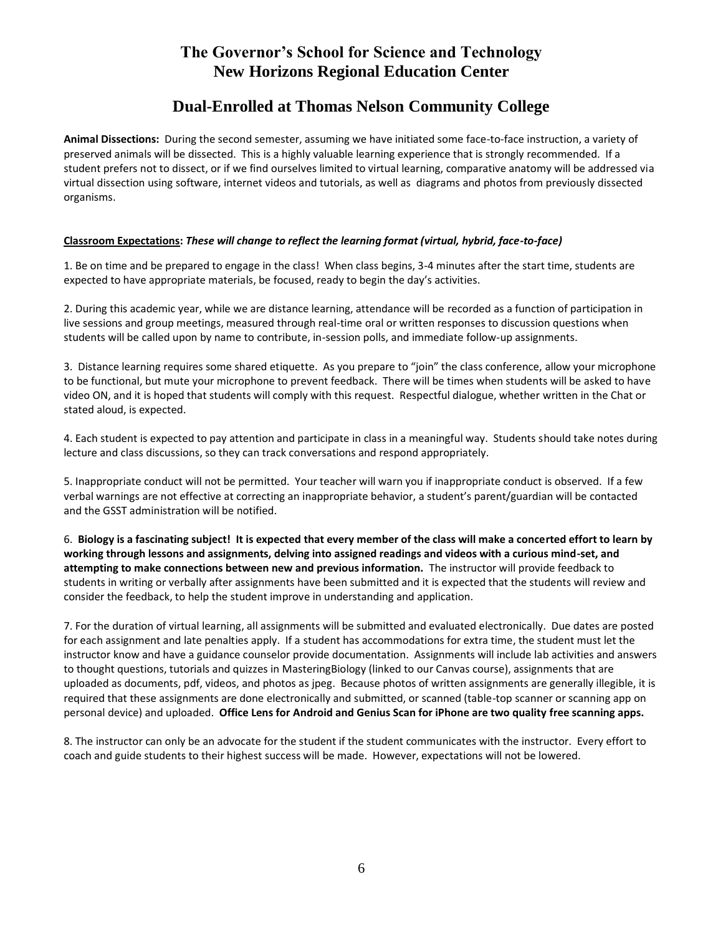## **Dual-Enrolled at Thomas Nelson Community College**

**Animal Dissections:** During the second semester, assuming we have initiated some face-to-face instruction, a variety of preserved animals will be dissected. This is a highly valuable learning experience that is strongly recommended. If a student prefers not to dissect, or if we find ourselves limited to virtual learning, comparative anatomy will be addressed via virtual dissection using software, internet videos and tutorials, as well as diagrams and photos from previously dissected organisms.

## **Classroom Expectations:** *These will change to reflect the learning format (virtual, hybrid, face-to-face)*

1. Be on time and be prepared to engage in the class! When class begins, 3-4 minutes after the start time, students are expected to have appropriate materials, be focused, ready to begin the day's activities.

2. During this academic year, while we are distance learning, attendance will be recorded as a function of participation in live sessions and group meetings, measured through real-time oral or written responses to discussion questions when students will be called upon by name to contribute, in-session polls, and immediate follow-up assignments.

3. Distance learning requires some shared etiquette. As you prepare to "join" the class conference, allow your microphone to be functional, but mute your microphone to prevent feedback. There will be times when students will be asked to have video ON, and it is hoped that students will comply with this request. Respectful dialogue, whether written in the Chat or stated aloud, is expected.

4. Each student is expected to pay attention and participate in class in a meaningful way. Students should take notes during lecture and class discussions, so they can track conversations and respond appropriately.

5. Inappropriate conduct will not be permitted. Your teacher will warn you if inappropriate conduct is observed. If a few verbal warnings are not effective at correcting an inappropriate behavior, a student's parent/guardian will be contacted and the GSST administration will be notified.

6. **Biology is a fascinating subject! It is expected that every member of the class will make a concerted effort to learn by working through lessons and assignments, delving into assigned readings and videos with a curious mind-set, and attempting to make connections between new and previous information.** The instructor will provide feedback to students in writing or verbally after assignments have been submitted and it is expected that the students will review and consider the feedback, to help the student improve in understanding and application.

7. For the duration of virtual learning, all assignments will be submitted and evaluated electronically. Due dates are posted for each assignment and late penalties apply. If a student has accommodations for extra time, the student must let the instructor know and have a guidance counselor provide documentation. Assignments will include lab activities and answers to thought questions, tutorials and quizzes in MasteringBiology (linked to our Canvas course), assignments that are uploaded as documents, pdf, videos, and photos as jpeg. Because photos of written assignments are generally illegible, it is required that these assignments are done electronically and submitted, or scanned (table-top scanner or scanning app on personal device) and uploaded. **Office Lens for Android and Genius Scan for iPhone are two quality free scanning apps.**

8. The instructor can only be an advocate for the student if the student communicates with the instructor. Every effort to coach and guide students to their highest success will be made. However, expectations will not be lowered.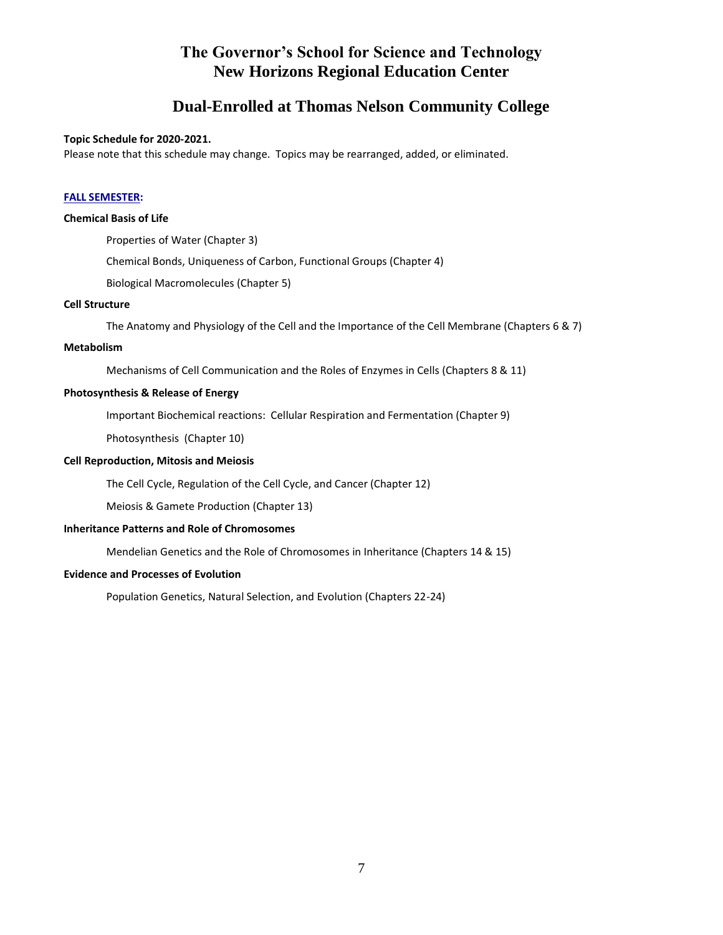# **Dual-Enrolled at Thomas Nelson Community College**

#### **Topic Schedule for 2020-2021.**

Please note that this schedule may change. Topics may be rearranged, added, or eliminated.

### **FALL SEMESTER:**

#### **Chemical Basis of Life**

Properties of Water (Chapter 3) Chemical Bonds, Uniqueness of Carbon, Functional Groups (Chapter 4) Biological Macromolecules (Chapter 5)

## **Cell Structure**

The Anatomy and Physiology of the Cell and the Importance of the Cell Membrane (Chapters 6 & 7)

#### **Metabolism**

Mechanisms of Cell Communication and the Roles of Enzymes in Cells (Chapters 8 & 11)

#### **Photosynthesis & Release of Energy**

Important Biochemical reactions: Cellular Respiration and Fermentation (Chapter 9)

Photosynthesis (Chapter 10)

## **Cell Reproduction, Mitosis and Meiosis**

The Cell Cycle, Regulation of the Cell Cycle, and Cancer (Chapter 12)

Meiosis & Gamete Production (Chapter 13)

#### **Inheritance Patterns and Role of Chromosomes**

Mendelian Genetics and the Role of Chromosomes in Inheritance (Chapters 14 & 15)

## **Evidence and Processes of Evolution**

Population Genetics, Natural Selection, and Evolution (Chapters 22-24)